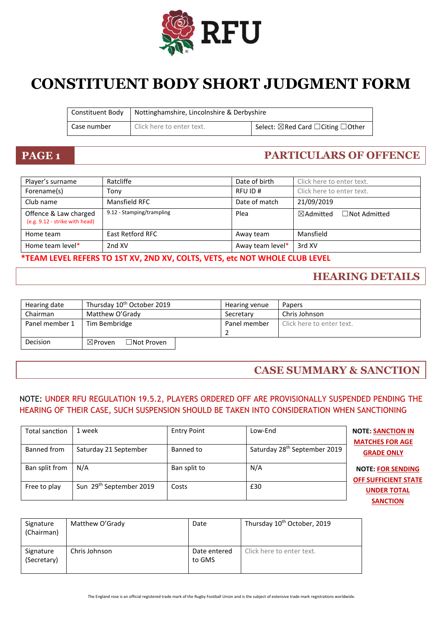

# **CONSTITUENT BODY SHORT JUDGMENT FORM**

|             | Constituent Body   Nottinghamshire, Lincolnshire & Derbyshire |                                    |
|-------------|---------------------------------------------------------------|------------------------------------|
| Case number | Click here to enter text.                                     | Select: ⊠Red Card □ Citing □ Other |

### **PAGE 1 PARTICULARS OF OFFENCE**

| Player's surname                                        | Ratcliffe                 | Date of birth    | Click here to enter text.                   |
|---------------------------------------------------------|---------------------------|------------------|---------------------------------------------|
| Forename(s)                                             | Tonv                      | RFU ID#          | Click here to enter text.                   |
| Club name                                               | Mansfield RFC             | Date of match    | 21/09/2019                                  |
| Offence & Law charged<br>(e.g. 9.12 - strike with head) | 9.12 - Stamping/trampling | Plea             | $\boxtimes$ Admitted<br>$\Box$ Not Admitted |
| Home team                                               | <b>East Retford RFC</b>   | Away team        | Mansfield                                   |
| Home team level*                                        | 2nd XV                    | Away team level* | 3rd XV                                      |

### **\*TEAM LEVEL REFERS TO 1ST XV, 2ND XV, COLTS, VETS, etc NOT WHOLE CLUB LEVEL**

### **HEARING DETAILS**

| Hearing date   | Thursday 10 <sup>th</sup> October 2019  | Hearing venue | Papers                    |
|----------------|-----------------------------------------|---------------|---------------------------|
| Chairman       | Matthew O'Grady                         | Secretary     | Chris Johnson             |
| Panel member 1 | Tim Bembridge                           | Panel member  | Click here to enter text. |
| Decision       | $\Box$ Not Proven<br>$\boxtimes$ Proven |               |                           |

### **CASE SUMMARY & SANCTION**

### NOTE: UNDER RFU REGULATION 19.5.2, PLAYERS ORDERED OFF ARE PROVISIONALLY SUSPENDED PENDING THE HEARING OF THEIR CASE, SUCH SUSPENSION SHOULD BE TAKEN INTO CONSIDERATION WHEN SANCTIONING

| Total sanction | 1 week                  | <b>Entry Point</b> | Low-End                                  | <b>NOTE: SANCTION IN</b><br><b>MATCHES FOR AGE</b>      |
|----------------|-------------------------|--------------------|------------------------------------------|---------------------------------------------------------|
| Banned from    | Saturday 21 September   | Banned to          | Saturday 28 <sup>th</sup> September 2019 | <b>GRADE ONLY</b>                                       |
| Ban split from | N/A                     | Ban split to       | N/A                                      | <b>NOTE: FOR SENDING</b><br><b>OFF SUFFICIENT STATE</b> |
| Free to play   | Sun 29th September 2019 | Costs              | £30                                      | <b>UNDER TOTAL</b>                                      |
|                |                         |                    |                                          | <b>SANCTION</b>                                         |

| Signature<br>(Chairman)  | Matthew O'Grady | Date                   | Thursday 10 <sup>th</sup> October, 2019 |
|--------------------------|-----------------|------------------------|-----------------------------------------|
| Signature<br>(Secretary) | Chris Johnson   | Date entered<br>to GMS | Click here to enter text.               |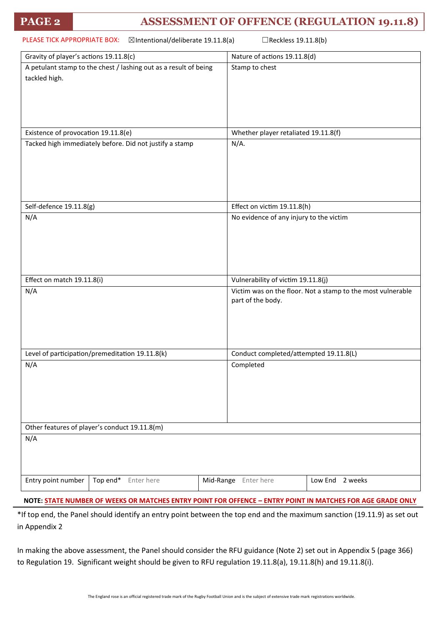### **PAGE 2 ASSESSMENT OF OFFENCE (REGULATION 19.11.8)**

| PLEASE TICK APPROPRIATE BOX:<br>⊠Intentional/deliberate 19.11.8(a)<br>□Reckless 19.11.8(b) |                                                                  |                                                                                  |  |
|--------------------------------------------------------------------------------------------|------------------------------------------------------------------|----------------------------------------------------------------------------------|--|
| Gravity of player's actions 19.11.8(c)                                                     |                                                                  | Nature of actions 19.11.8(d)                                                     |  |
| tackled high.                                                                              | A petulant stamp to the chest / lashing out as a result of being | Stamp to chest                                                                   |  |
| Existence of provocation 19.11.8(e)                                                        |                                                                  | Whether player retaliated 19.11.8(f)                                             |  |
|                                                                                            | Tacked high immediately before. Did not justify a stamp          | $N/A$ .                                                                          |  |
| Self-defence 19.11.8(g)                                                                    |                                                                  | Effect on victim 19.11.8(h)                                                      |  |
| N/A                                                                                        |                                                                  | No evidence of any injury to the victim                                          |  |
| Effect on match 19.11.8(i)                                                                 |                                                                  | Vulnerability of victim 19.11.8(j)                                               |  |
| N/A                                                                                        |                                                                  | Victim was on the floor. Not a stamp to the most vulnerable<br>part of the body. |  |
|                                                                                            | Level of participation/premeditation 19.11.8(k)                  | Conduct completed/attempted 19.11.8(L)                                           |  |
| N/A                                                                                        |                                                                  | Completed                                                                        |  |
| Other features of player's conduct 19.11.8(m)                                              |                                                                  |                                                                                  |  |
| N/A                                                                                        |                                                                  |                                                                                  |  |
| Entry point number                                                                         | Top end*<br>Enter here                                           | Mid-Range<br>Enter here<br>Low End<br>2 weeks                                    |  |
|                                                                                            |                                                                  |                                                                                  |  |

**NOTE: STATE NUMBER OF WEEKS OR MATCHES ENTRY POINT FOR OFFENCE – ENTRY POINT IN MATCHES FOR AGE GRADE ONLY**

\*If top end, the Panel should identify an entry point between the top end and the maximum sanction (19.11.9) as set out in Appendix 2

In making the above assessment, the Panel should consider the RFU guidance (Note 2) set out in Appendix 5 (page 366) to Regulation 19. Significant weight should be given to RFU regulation 19.11.8(a), 19.11.8(h) and 19.11.8(i).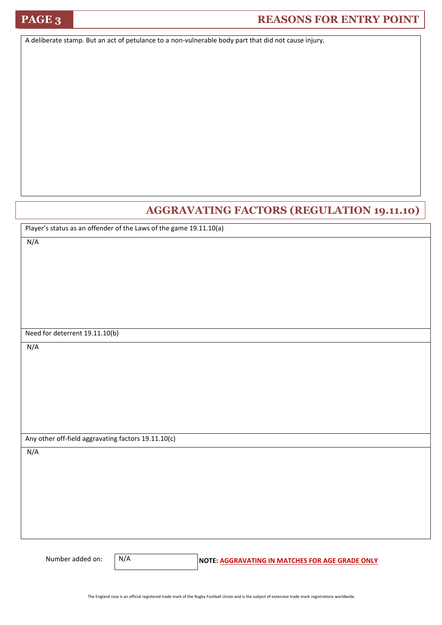## **PAGE 3 REASONS FOR ENTRY POINT**

A deliberate stamp. But an act of petulance to a non-vulnerable body part that did not cause injury.

### **AGGRAVATING FACTORS (REGULATION 19.11.10)**

Player's status as an offender of the Laws of the game 19.11.10(a)

N/A

Need for deterrent 19.11.10(b)

N/A

Any other off-field aggravating factors 19.11.10(c)

N/A

N/A

Number added on: **N/A** NOTE: AGGRAVATING IN MATCHES FOR AGE GRADE ONLY